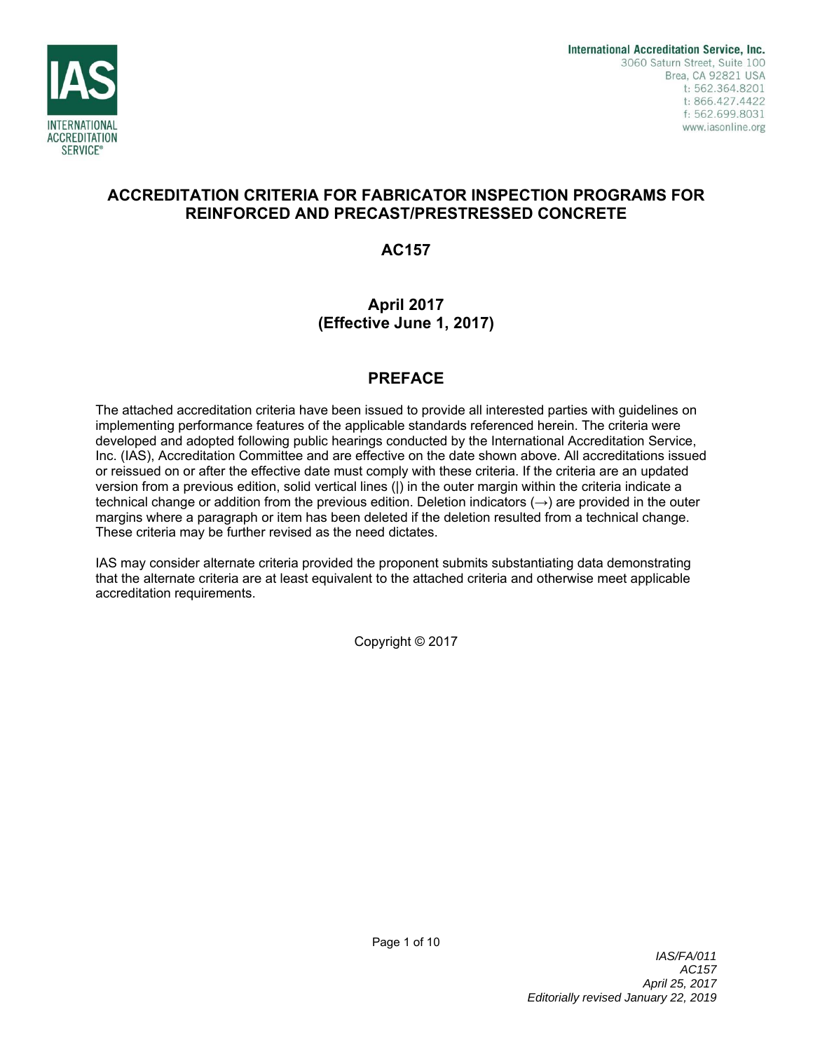

# **ACCREDITATION CRITERIA FOR FABRICATOR INSPECTION PROGRAMS FOR REINFORCED AND PRECAST/PRESTRESSED CONCRETE**

**AC157** 

# **April 2017 (Effective June 1, 2017)**

# **PREFACE**

The attached accreditation criteria have been issued to provide all interested parties with guidelines on implementing performance features of the applicable standards referenced herein. The criteria were developed and adopted following public hearings conducted by the International Accreditation Service, Inc. (IAS), Accreditation Committee and are effective on the date shown above. All accreditations issued or reissued on or after the effective date must comply with these criteria. If the criteria are an updated version from a previous edition, solid vertical lines (|) in the outer margin within the criteria indicate a technical change or addition from the previous edition. Deletion indicators  $(\rightarrow)$  are provided in the outer margins where a paragraph or item has been deleted if the deletion resulted from a technical change. These criteria may be further revised as the need dictates.

IAS may consider alternate criteria provided the proponent submits substantiating data demonstrating that the alternate criteria are at least equivalent to the attached criteria and otherwise meet applicable accreditation requirements.

Copyright © 2017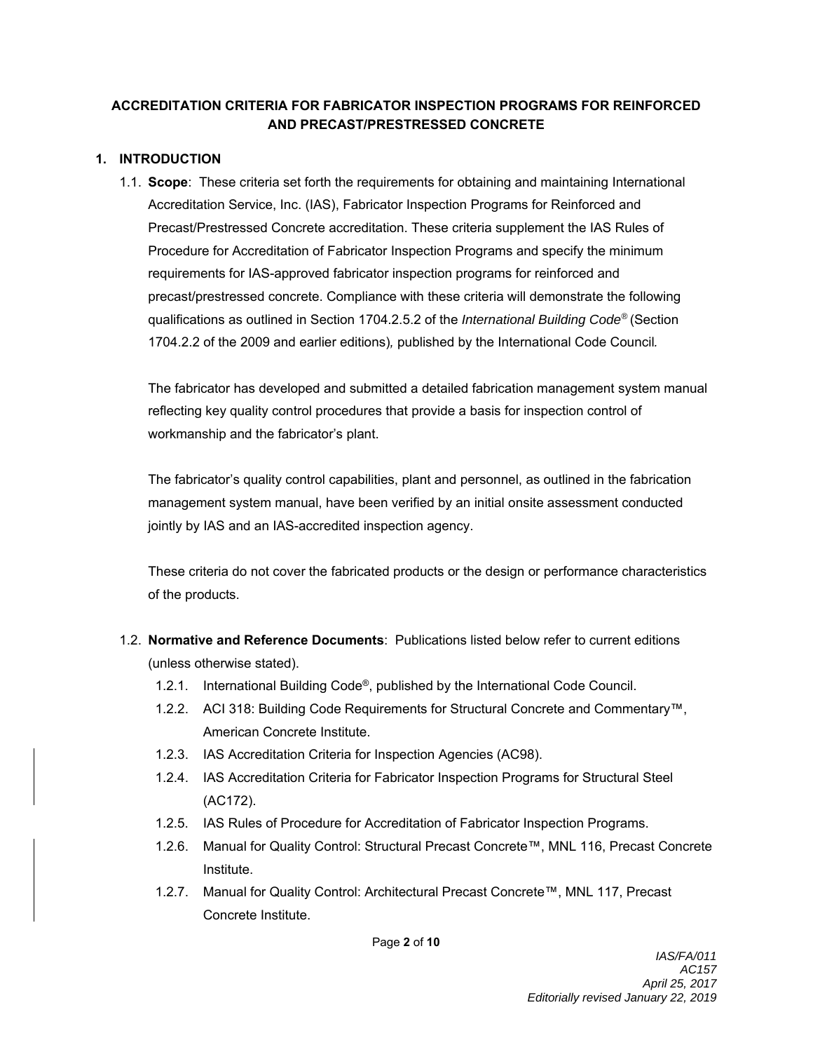# **ACCREDITATION CRITERIA FOR FABRICATOR INSPECTION PROGRAMS FOR REINFORCED AND PRECAST/PRESTRESSED CONCRETE**

## **1. INTRODUCTION**

1.1. **Scope**: These criteria set forth the requirements for obtaining and maintaining International Accreditation Service, Inc. (IAS), Fabricator Inspection Programs for Reinforced and Precast/Prestressed Concrete accreditation. These criteria supplement the IAS Rules of Procedure for Accreditation of Fabricator Inspection Programs and specify the minimum requirements for IAS-approved fabricator inspection programs for reinforced and precast/prestressed concrete. Compliance with these criteria will demonstrate the following qualifications as outlined in Section 1704.2.5.2 of the *International Building Code®* (Section 1704.2.2 of the 2009 and earlier editions)*,* published by the International Code Council*.*

The fabricator has developed and submitted a detailed fabrication management system manual reflecting key quality control procedures that provide a basis for inspection control of workmanship and the fabricator's plant.

The fabricator's quality control capabilities, plant and personnel, as outlined in the fabrication management system manual, have been verified by an initial onsite assessment conducted jointly by IAS and an IAS-accredited inspection agency.

These criteria do not cover the fabricated products or the design or performance characteristics of the products.

- 1.2. **Normative and Reference Documents**: Publications listed below refer to current editions (unless otherwise stated).
	- 1.2.1. International Building Code®, published by the International Code Council.
	- 1.2.2. ACI 318: Building Code Requirements for Structural Concrete and Commentary™, American Concrete Institute.
	- 1.2.3. IAS Accreditation Criteria for Inspection Agencies (AC98).
	- 1.2.4. IAS Accreditation Criteria for Fabricator Inspection Programs for Structural Steel (AC172).
	- 1.2.5. IAS Rules of Procedure for Accreditation of Fabricator Inspection Programs.
	- 1.2.6. Manual for Quality Control: Structural Precast Concrete™, MNL 116, Precast Concrete Institute.
	- 1.2.7. Manual for Quality Control: Architectural Precast Concrete™, MNL 117, Precast Concrete Institute.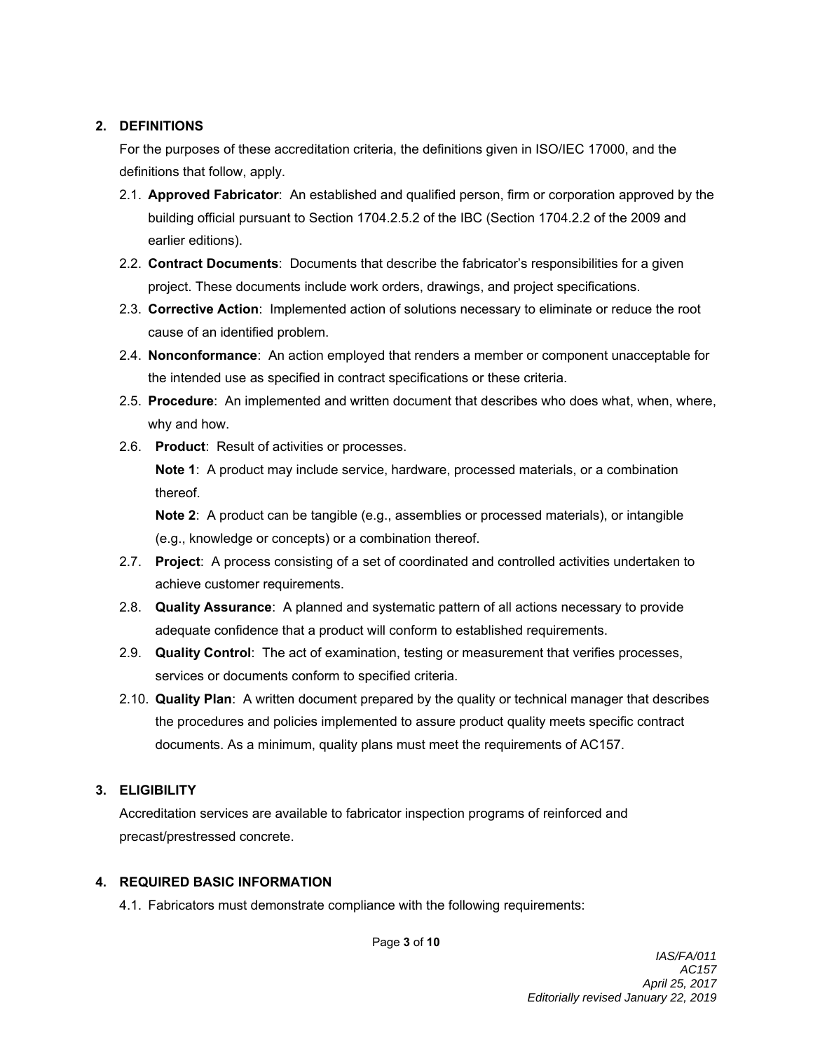#### **2. DEFINITIONS**

For the purposes of these accreditation criteria, the definitions given in ISO/IEC 17000, and the definitions that follow, apply.

- 2.1. **Approved Fabricator**: An established and qualified person, firm or corporation approved by the building official pursuant to Section 1704.2.5.2 of the IBC (Section 1704.2.2 of the 2009 and earlier editions).
- 2.2. **Contract Documents**: Documents that describe the fabricator's responsibilities for a given project. These documents include work orders, drawings, and project specifications.
- 2.3. **Corrective Action**: Implemented action of solutions necessary to eliminate or reduce the root cause of an identified problem.
- 2.4. **Nonconformance**: An action employed that renders a member or component unacceptable for the intended use as specified in contract specifications or these criteria.
- 2.5. **Procedure**: An implemented and written document that describes who does what, when, where, why and how.
- 2.6. **Product**: Result of activities or processes. **Note 1**: A product may include service, hardware, processed materials, or a combination thereof.

**Note 2**: A product can be tangible (e.g., assemblies or processed materials), or intangible (e.g., knowledge or concepts) or a combination thereof.

- 2.7. **Project**: A process consisting of a set of coordinated and controlled activities undertaken to achieve customer requirements.
- 2.8. **Quality Assurance**: A planned and systematic pattern of all actions necessary to provide adequate confidence that a product will conform to established requirements.
- 2.9. **Quality Control**: The act of examination, testing or measurement that verifies processes, services or documents conform to specified criteria.
- 2.10. **Quality Plan**: A written document prepared by the quality or technical manager that describes the procedures and policies implemented to assure product quality meets specific contract documents. As a minimum, quality plans must meet the requirements of AC157.

## **3. ELIGIBILITY**

Accreditation services are available to fabricator inspection programs of reinforced and precast/prestressed concrete.

## **4. REQUIRED BASIC INFORMATION**

4.1. Fabricators must demonstrate compliance with the following requirements:

Page **3** of **10**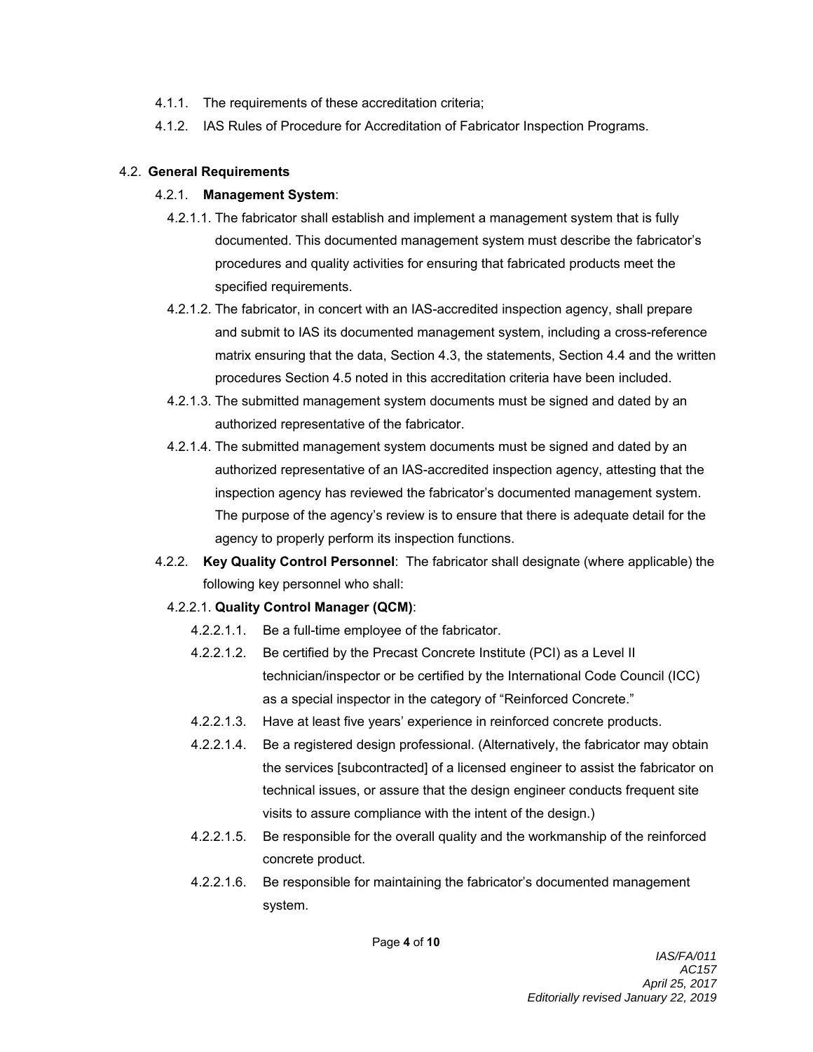- 4.1.1. The requirements of these accreditation criteria;
- 4.1.2. IAS Rules of Procedure for Accreditation of Fabricator Inspection Programs.

#### 4.2. **General Requirements**

#### 4.2.1. **Management System**:

- 4.2.1.1. The fabricator shall establish and implement a management system that is fully documented. This documented management system must describe the fabricator's procedures and quality activities for ensuring that fabricated products meet the specified requirements.
- 4.2.1.2. The fabricator, in concert with an IAS-accredited inspection agency, shall prepare and submit to IAS its documented management system, including a cross-reference matrix ensuring that the data, Section 4.3, the statements, Section 4.4 and the written procedures Section 4.5 noted in this accreditation criteria have been included.
- 4.2.1.3. The submitted management system documents must be signed and dated by an authorized representative of the fabricator.
- 4.2.1.4. The submitted management system documents must be signed and dated by an authorized representative of an IAS-accredited inspection agency, attesting that the inspection agency has reviewed the fabricator's documented management system. The purpose of the agency's review is to ensure that there is adequate detail for the agency to properly perform its inspection functions.
- 4.2.2. **Key Quality Control Personnel**: The fabricator shall designate (where applicable) the following key personnel who shall:

## 4.2.2.1. **Quality Control Manager (QCM)**:

- 4.2.2.1.1. Be a full-time employee of the fabricator.
- 4.2.2.1.2. Be certified by the Precast Concrete Institute (PCI) as a Level II technician/inspector or be certified by the International Code Council (ICC) as a special inspector in the category of "Reinforced Concrete."
- 4.2.2.1.3. Have at least five years' experience in reinforced concrete products.
- 4.2.2.1.4. Be a registered design professional. (Alternatively, the fabricator may obtain the services [subcontracted] of a licensed engineer to assist the fabricator on technical issues, or assure that the design engineer conducts frequent site visits to assure compliance with the intent of the design.)
- 4.2.2.1.5. Be responsible for the overall quality and the workmanship of the reinforced concrete product.
- 4.2.2.1.6. Be responsible for maintaining the fabricator's documented management system.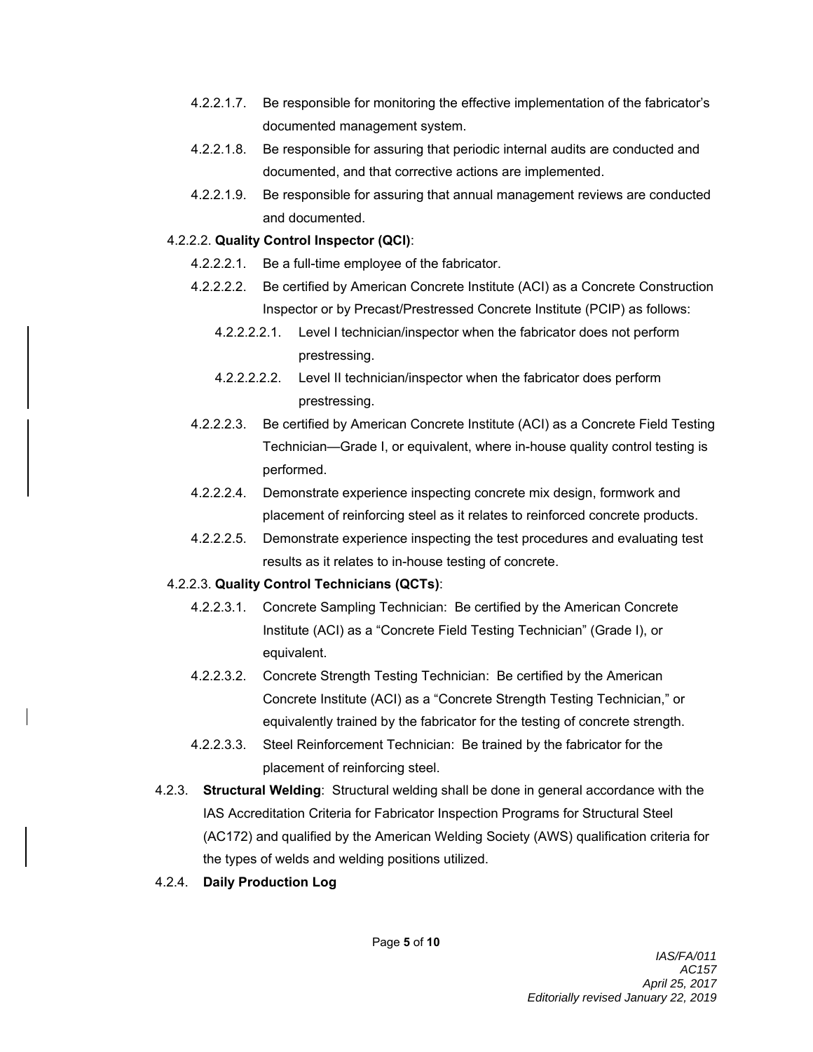- 4.2.2.1.7. Be responsible for monitoring the effective implementation of the fabricator's documented management system.
- 4.2.2.1.8. Be responsible for assuring that periodic internal audits are conducted and documented, and that corrective actions are implemented.
- 4.2.2.1.9. Be responsible for assuring that annual management reviews are conducted and documented.

#### 4.2.2.2. **Quality Control Inspector (QCI)**:

- 4.2.2.2.1. Be a full-time employee of the fabricator.
- 4.2.2.2.2. Be certified by American Concrete Institute (ACI) as a Concrete Construction Inspector or by Precast/Prestressed Concrete Institute (PCIP) as follows:
	- 4.2.2.2.2.1. Level I technician/inspector when the fabricator does not perform prestressing.
	- 4.2.2.2.2.2. Level II technician/inspector when the fabricator does perform prestressing.
- 4.2.2.2.3. Be certified by American Concrete Institute (ACI) as a Concrete Field Testing Technician—Grade I, or equivalent, where in-house quality control testing is performed.
- 4.2.2.2.4. Demonstrate experience inspecting concrete mix design, formwork and placement of reinforcing steel as it relates to reinforced concrete products.
- 4.2.2.2.5. Demonstrate experience inspecting the test procedures and evaluating test results as it relates to in-house testing of concrete.

## 4.2.2.3. **Quality Control Technicians (QCTs)**:

- 4.2.2.3.1. Concrete Sampling Technician: Be certified by the American Concrete Institute (ACI) as a "Concrete Field Testing Technician" (Grade I), or equivalent.
- 4.2.2.3.2. Concrete Strength Testing Technician: Be certified by the American Concrete Institute (ACI) as a "Concrete Strength Testing Technician," or equivalently trained by the fabricator for the testing of concrete strength.
- 4.2.2.3.3. Steel Reinforcement Technician: Be trained by the fabricator for the placement of reinforcing steel.
- 4.2.3. **Structural Welding**: Structural welding shall be done in general accordance with the IAS Accreditation Criteria for Fabricator Inspection Programs for Structural Steel (AC172) and qualified by the American Welding Society (AWS) qualification criteria for the types of welds and welding positions utilized.
- 4.2.4. **Daily Production Log**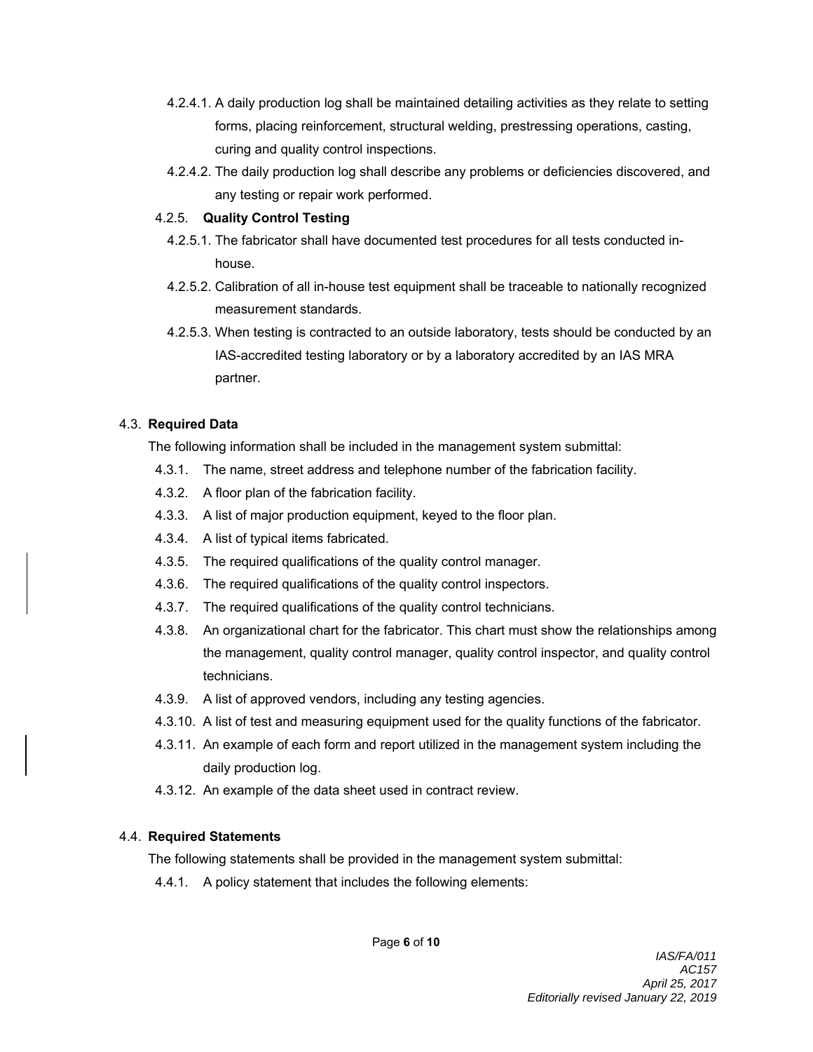- 4.2.4.1. A daily production log shall be maintained detailing activities as they relate to setting forms, placing reinforcement, structural welding, prestressing operations, casting, curing and quality control inspections.
- 4.2.4.2. The daily production log shall describe any problems or deficiencies discovered, and any testing or repair work performed.

#### 4.2.5. **Quality Control Testing**

- 4.2.5.1. The fabricator shall have documented test procedures for all tests conducted inhouse.
- 4.2.5.2. Calibration of all in-house test equipment shall be traceable to nationally recognized measurement standards.
- 4.2.5.3. When testing is contracted to an outside laboratory, tests should be conducted by an IAS-accredited testing laboratory or by a laboratory accredited by an IAS MRA partner.

#### 4.3. **Required Data**

The following information shall be included in the management system submittal:

- 4.3.1. The name, street address and telephone number of the fabrication facility.
- 4.3.2. A floor plan of the fabrication facility.
- 4.3.3. A list of major production equipment, keyed to the floor plan.
- 4.3.4. A list of typical items fabricated.
- 4.3.5. The required qualifications of the quality control manager.
- 4.3.6. The required qualifications of the quality control inspectors.
- 4.3.7. The required qualifications of the quality control technicians.
- 4.3.8. An organizational chart for the fabricator. This chart must show the relationships among the management, quality control manager, quality control inspector, and quality control technicians.
- 4.3.9. A list of approved vendors, including any testing agencies.
- 4.3.10. A list of test and measuring equipment used for the quality functions of the fabricator.
- 4.3.11. An example of each form and report utilized in the management system including the daily production log.
- 4.3.12. An example of the data sheet used in contract review.

## 4.4. **Required Statements**

The following statements shall be provided in the management system submittal:

4.4.1. A policy statement that includes the following elements: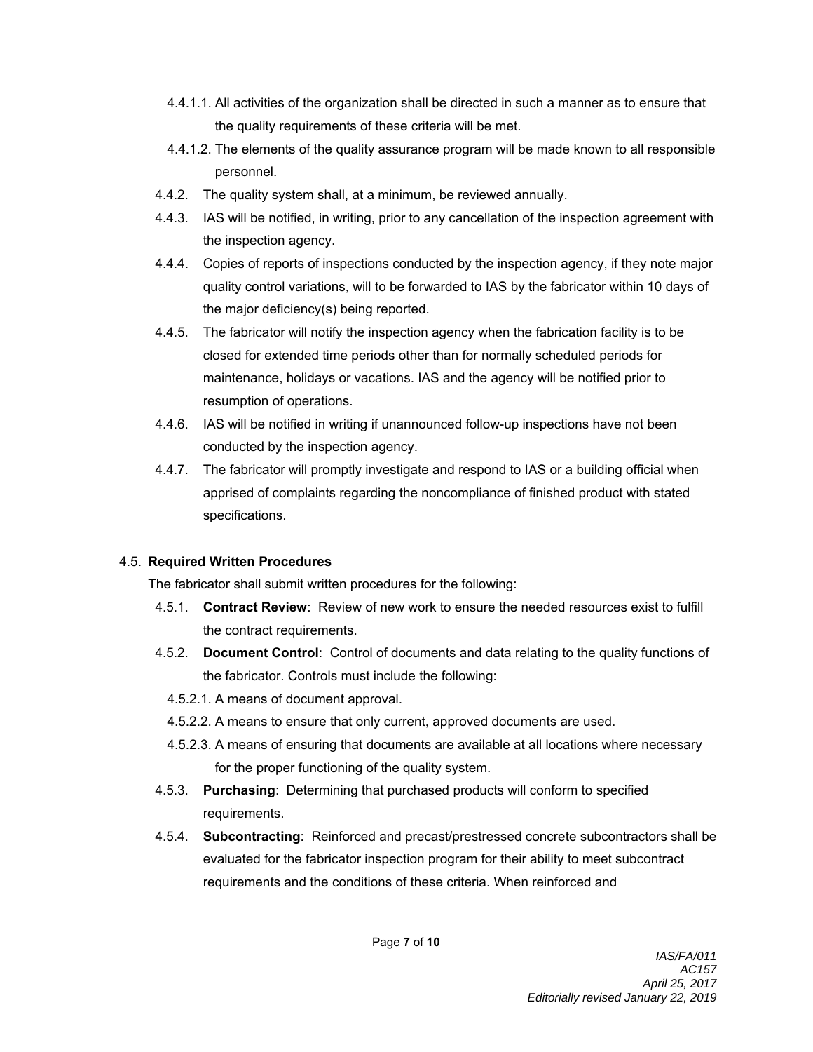- 4.4.1.1. All activities of the organization shall be directed in such a manner as to ensure that the quality requirements of these criteria will be met.
- 4.4.1.2. The elements of the quality assurance program will be made known to all responsible personnel.
- 4.4.2. The quality system shall, at a minimum, be reviewed annually.
- 4.4.3. IAS will be notified, in writing, prior to any cancellation of the inspection agreement with the inspection agency.
- 4.4.4. Copies of reports of inspections conducted by the inspection agency, if they note major quality control variations, will to be forwarded to IAS by the fabricator within 10 days of the major deficiency(s) being reported.
- 4.4.5. The fabricator will notify the inspection agency when the fabrication facility is to be closed for extended time periods other than for normally scheduled periods for maintenance, holidays or vacations. IAS and the agency will be notified prior to resumption of operations.
- 4.4.6. IAS will be notified in writing if unannounced follow-up inspections have not been conducted by the inspection agency.
- 4.4.7. The fabricator will promptly investigate and respond to IAS or a building official when apprised of complaints regarding the noncompliance of finished product with stated specifications.

# 4.5. **Required Written Procedures**

The fabricator shall submit written procedures for the following:

- 4.5.1. **Contract Review**: Review of new work to ensure the needed resources exist to fulfill the contract requirements.
- 4.5.2. **Document Control**: Control of documents and data relating to the quality functions of the fabricator. Controls must include the following:
	- 4.5.2.1. A means of document approval.
	- 4.5.2.2. A means to ensure that only current, approved documents are used.
	- 4.5.2.3. A means of ensuring that documents are available at all locations where necessary for the proper functioning of the quality system.
- 4.5.3. **Purchasing**: Determining that purchased products will conform to specified requirements.
- 4.5.4. **Subcontracting**: Reinforced and precast/prestressed concrete subcontractors shall be evaluated for the fabricator inspection program for their ability to meet subcontract requirements and the conditions of these criteria. When reinforced and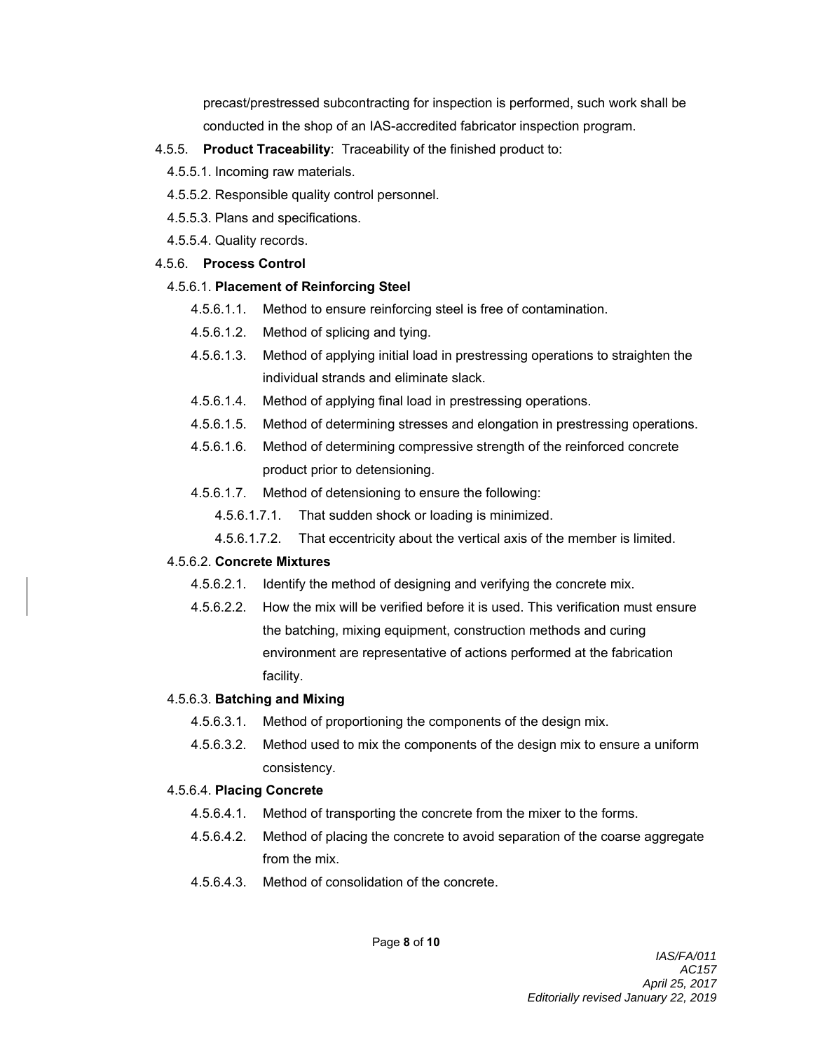precast/prestressed subcontracting for inspection is performed, such work shall be conducted in the shop of an IAS-accredited fabricator inspection program.

#### 4.5.5. **Product Traceability**: Traceability of the finished product to:

- 4.5.5.1. Incoming raw materials.
- 4.5.5.2. Responsible quality control personnel.
- 4.5.5.3. Plans and specifications.
- 4.5.5.4. Quality records.

## 4.5.6. **Process Control**

# 4.5.6.1. **Placement of Reinforcing Steel**

- 4.5.6.1.1. Method to ensure reinforcing steel is free of contamination.
- 4.5.6.1.2. Method of splicing and tying.
- 4.5.6.1.3. Method of applying initial load in prestressing operations to straighten the individual strands and eliminate slack.
- 4.5.6.1.4. Method of applying final load in prestressing operations.
- 4.5.6.1.5. Method of determining stresses and elongation in prestressing operations.
- 4.5.6.1.6. Method of determining compressive strength of the reinforced concrete product prior to detensioning.
- 4.5.6.1.7. Method of detensioning to ensure the following:
	- 4.5.6.1.7.1. That sudden shock or loading is minimized.
	- 4.5.6.1.7.2. That eccentricity about the vertical axis of the member is limited.

## 4.5.6.2. **Concrete Mixtures**

- 4.5.6.2.1. Identify the method of designing and verifying the concrete mix.
- 4.5.6.2.2. How the mix will be verified before it is used. This verification must ensure the batching, mixing equipment, construction methods and curing environment are representative of actions performed at the fabrication facility.

## 4.5.6.3. **Batching and Mixing**

- 4.5.6.3.1. Method of proportioning the components of the design mix.
- 4.5.6.3.2. Method used to mix the components of the design mix to ensure a uniform consistency.

## 4.5.6.4. **Placing Concrete**

- 4.5.6.4.1. Method of transporting the concrete from the mixer to the forms.
- 4.5.6.4.2. Method of placing the concrete to avoid separation of the coarse aggregate from the mix.
- 4.5.6.4.3. Method of consolidation of the concrete.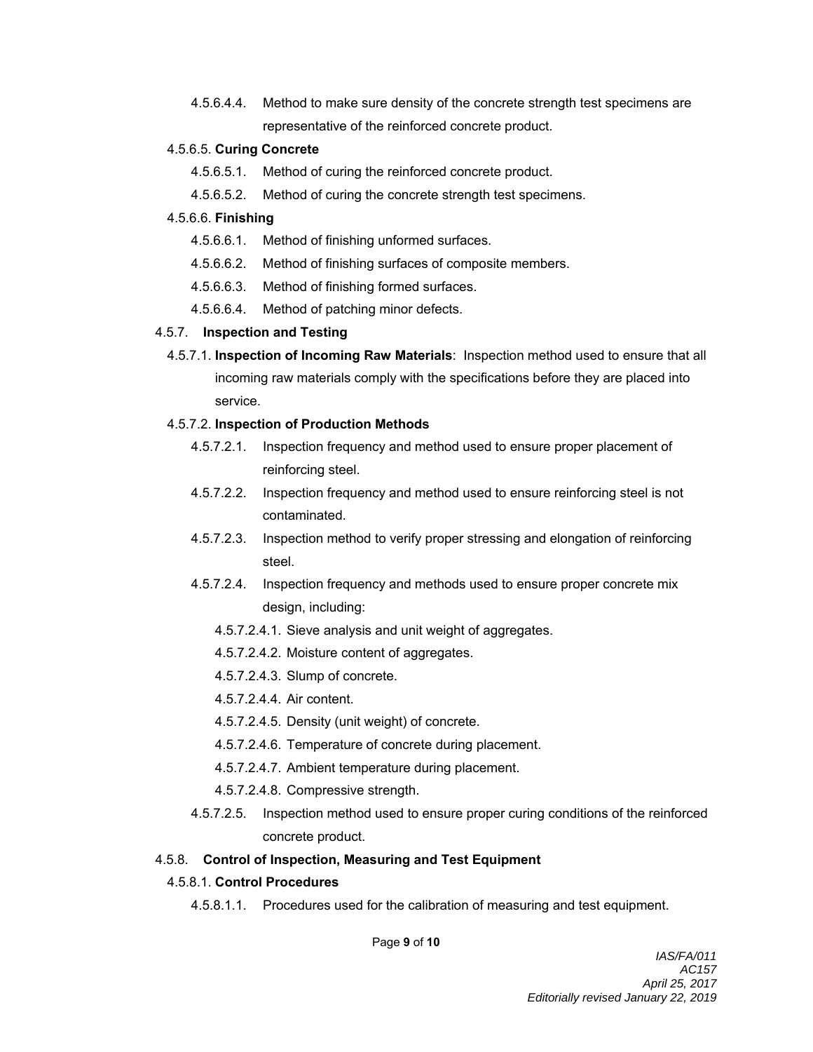4.5.6.4.4. Method to make sure density of the concrete strength test specimens are representative of the reinforced concrete product.

#### 4.5.6.5. **Curing Concrete**

- 4.5.6.5.1. Method of curing the reinforced concrete product.
- 4.5.6.5.2. Method of curing the concrete strength test specimens.

#### 4.5.6.6. **Finishing**

- 4.5.6.6.1. Method of finishing unformed surfaces.
- 4.5.6.6.2. Method of finishing surfaces of composite members.
- 4.5.6.6.3. Method of finishing formed surfaces.
- 4.5.6.6.4. Method of patching minor defects.

#### 4.5.7. **Inspection and Testing**

4.5.7.1. **Inspection of Incoming Raw Materials**: Inspection method used to ensure that all incoming raw materials comply with the specifications before they are placed into service.

## 4.5.7.2. **Inspection of Production Methods**

- 4.5.7.2.1. Inspection frequency and method used to ensure proper placement of reinforcing steel.
- 4.5.7.2.2. Inspection frequency and method used to ensure reinforcing steel is not contaminated.
- 4.5.7.2.3. Inspection method to verify proper stressing and elongation of reinforcing steel.
- 4.5.7.2.4. Inspection frequency and methods used to ensure proper concrete mix design, including:
	- 4.5.7.2.4.1. Sieve analysis and unit weight of aggregates.
	- 4.5.7.2.4.2. Moisture content of aggregates.
	- 4.5.7.2.4.3. Slump of concrete.
	- 4.5.7.2.4.4. Air content.
	- 4.5.7.2.4.5. Density (unit weight) of concrete.
	- 4.5.7.2.4.6. Temperature of concrete during placement.
	- 4.5.7.2.4.7. Ambient temperature during placement.
	- 4.5.7.2.4.8. Compressive strength.
- 4.5.7.2.5. Inspection method used to ensure proper curing conditions of the reinforced concrete product.

## 4.5.8. **Control of Inspection, Measuring and Test Equipment**

#### 4.5.8.1. **Control Procedures**

4.5.8.1.1. Procedures used for the calibration of measuring and test equipment.